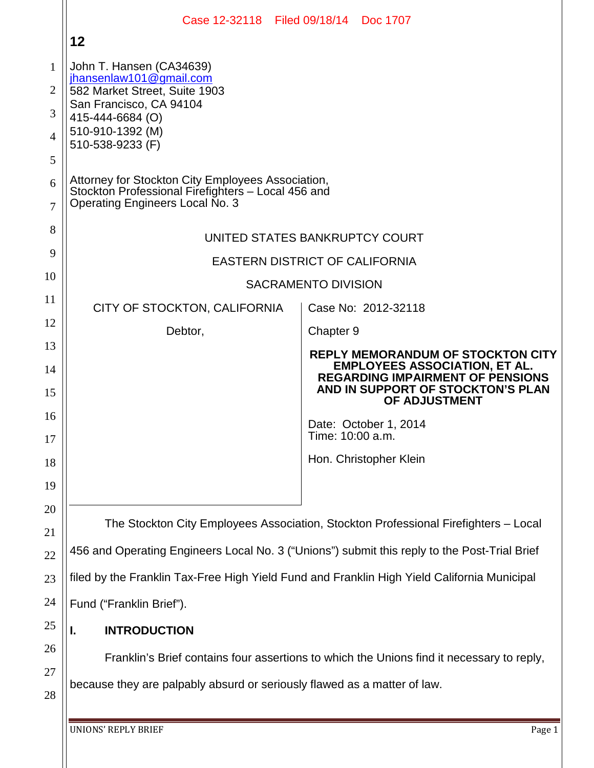|          | Case 12-32118 Filed 09/18/14 Doc 1707                                                                                                      |                  |                                                                                                                                       |
|----------|--------------------------------------------------------------------------------------------------------------------------------------------|------------------|---------------------------------------------------------------------------------------------------------------------------------------|
|          | 12                                                                                                                                         |                  |                                                                                                                                       |
| 1        | John T. Hansen (CA34639)<br>jhansenlaw101@gmail.com                                                                                        |                  |                                                                                                                                       |
| 2        | 582 Market Street, Suite 1903                                                                                                              |                  |                                                                                                                                       |
| 3        | San Francisco, CA 94104<br>415-444-6684 (O)                                                                                                |                  |                                                                                                                                       |
| 4        | 510-910-1392 (M)<br>510-538-9233 (F)                                                                                                       |                  |                                                                                                                                       |
| 5        |                                                                                                                                            |                  |                                                                                                                                       |
| 6<br>7   | Attorney for Stockton City Employees Association,<br>Stockton Professional Firefighters - Local 456 and<br>Operating Engineers Local No. 3 |                  |                                                                                                                                       |
| 8        | UNITED STATES BANKRUPTCY COURT                                                                                                             |                  |                                                                                                                                       |
| 9        | <b>EASTERN DISTRICT OF CALIFORNIA</b>                                                                                                      |                  |                                                                                                                                       |
| 10       | <b>SACRAMENTO DIVISION</b>                                                                                                                 |                  |                                                                                                                                       |
| 11       | CITY OF STOCKTON, CALIFORNIA                                                                                                               |                  | Case No: 2012-32118                                                                                                                   |
| 12       | Debtor,                                                                                                                                    | Chapter 9        |                                                                                                                                       |
| 13       |                                                                                                                                            |                  | REPLY MEMORANDUM OF STOCKTON CITY                                                                                                     |
| 14<br>15 |                                                                                                                                            |                  | <b>EMPLOYEES ASSOCIATION, ET AL.</b><br><b>REGARDING IMPAIRMENT OF PENSIONS</b><br>AND IN SUPPORT OF STOCKTON'S PLAN<br>OF ADJUSTMENT |
| 16       |                                                                                                                                            | Time: 10:00 a.m. | Date: October 1, 2014                                                                                                                 |
| 17<br>18 |                                                                                                                                            |                  | Hon. Christopher Klein                                                                                                                |
| 19       |                                                                                                                                            |                  |                                                                                                                                       |
| 20       |                                                                                                                                            |                  |                                                                                                                                       |
| 21       | The Stockton City Employees Association, Stockton Professional Firefighters - Local                                                        |                  |                                                                                                                                       |
| 22       | 456 and Operating Engineers Local No. 3 ("Unions") submit this reply to the Post-Trial Brief                                               |                  |                                                                                                                                       |
| 23       | filed by the Franklin Tax-Free High Yield Fund and Franklin High Yield California Municipal                                                |                  |                                                                                                                                       |
| 24       | Fund ("Franklin Brief").                                                                                                                   |                  |                                                                                                                                       |
| 25       | <b>INTRODUCTION</b><br>I.                                                                                                                  |                  |                                                                                                                                       |
| 26       | Franklin's Brief contains four assertions to which the Unions find it necessary to reply,                                                  |                  |                                                                                                                                       |
| 27       | because they are palpably absurd or seriously flawed as a matter of law.                                                                   |                  |                                                                                                                                       |
| 28       |                                                                                                                                            |                  |                                                                                                                                       |

UNIONS' REPLY BRIEF Page 1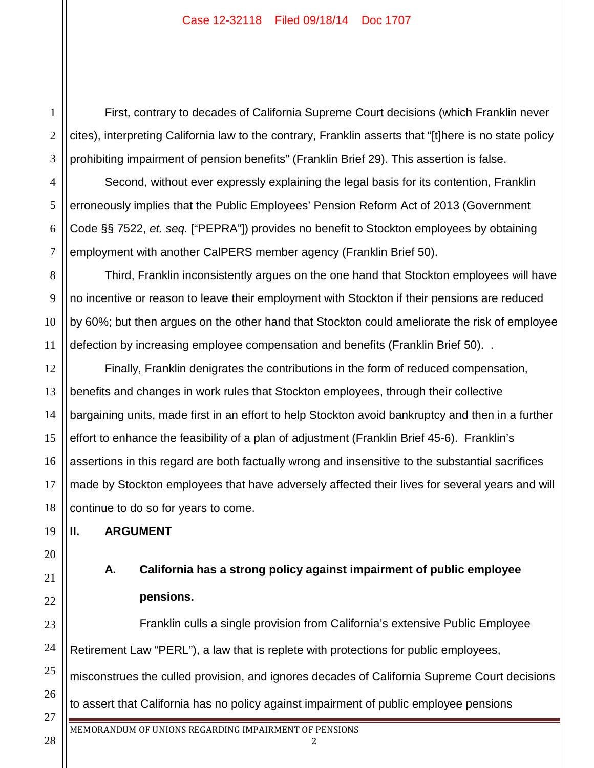First, contrary to decades of California Supreme Court decisions (which Franklin never cites), interpreting California law to the contrary, Franklin asserts that "[t]here is no state policy prohibiting impairment of pension benefits" (Franklin Brief 29). This assertion is false.

Second, without ever expressly explaining the legal basis for its contention, Franklin erroneously implies that the Public Employees' Pension Reform Act of 2013 (Government Code §§ 7522, *et. seq.* ["PEPRA"]) provides no benefit to Stockton employees by obtaining employment with another CalPERS member agency (Franklin Brief 50).

Third, Franklin inconsistently argues on the one hand that Stockton employees will have no incentive or reason to leave their employment with Stockton if their pensions are reduced by 60%; but then argues on the other hand that Stockton could ameliorate the risk of employee defection by increasing employee compensation and benefits (Franklin Brief 50). .

Finally, Franklin denigrates the contributions in the form of reduced compensation, benefits and changes in work rules that Stockton employees, through their collective bargaining units, made first in an effort to help Stockton avoid bankruptcy and then in a further effort to enhance the feasibility of a plan of adjustment (Franklin Brief 45-6). Franklin's assertions in this regard are both factually wrong and insensitive to the substantial sacrifices made by Stockton employees that have adversely affected their lives for several years and will continue to do so for years to come.

**II. ARGUMENT**

## **A. California has a strong policy against impairment of public employee pensions.**

Franklin culls a single provision from California's extensive Public Employee Retirement Law "PERL"), a law that is replete with protections for public employees, misconstrues the culled provision, and ignores decades of California Supreme Court decisions to assert that California has no policy against impairment of public employee pensions

1

2

3

4

5

6

MEMORANDUM OF UNIONS REGARDING IMPAIRMENT OF PENSIONS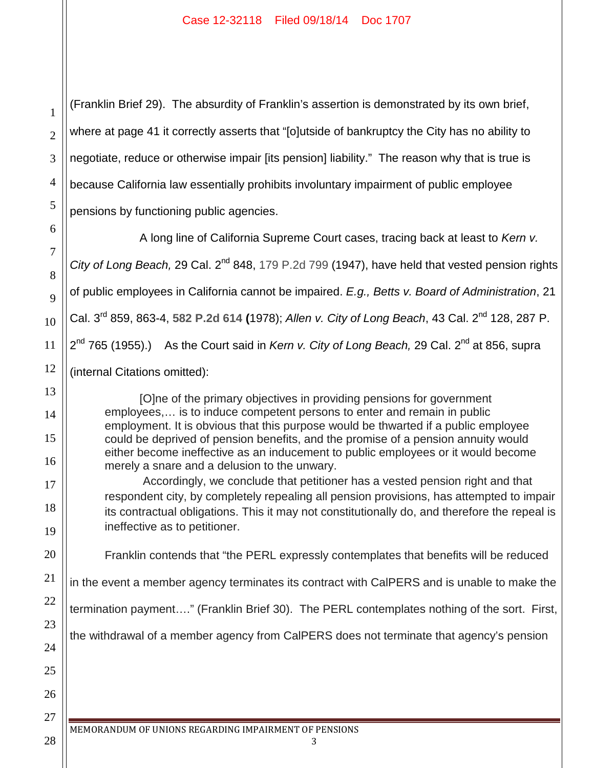(Franklin Brief 29). The absurdity of Franklin's assertion is demonstrated by its own brief, where at page 41 it correctly asserts that "[o]utside of bankruptcy the City has no ability to negotiate, reduce or otherwise impair [its pension] liability." The reason why that is true is because California law essentially prohibits involuntary impairment of public employee pensions by functioning public agencies.

A long line of California Supreme Court cases, tracing back at least to *Kern v. City of Long Beach,* 29 Cal. 2<sup>nd</sup> 848, 179 P.2d 799 (1947), have held that vested pension rights of public employees in California cannot be impaired. *E.g., Betts v. Board of Administration*, 21 Cal. 3rd 859, 863-4, **582 P.2d 614 (**1978); *Allen v. City of Long Beach*, 43 Cal. 2nd 128, 287 P. 2nd 765 (1955).) As the Court said in *Kern v. City of Long Beach,* 29 Cal. 2nd at 856, supra (internal Citations omitted):

[O]ne of the primary objectives in providing pensions for government employees,… is to induce competent persons to enter and remain in public employment. It is obvious that this purpose would be thwarted if a public employee could be deprived of pension benefits, and the promise of a pension annuity would either become ineffective as an inducement to public employees or it would become merely a snare and a delusion to the unwary.

Accordingly, we conclude that petitioner has a vested pension right and that respondent city, by completely repealing all pension provisions, has attempted to impair its contractual obligations. This it may not constitutionally do, and therefore the repeal is ineffective as to petitioner.

Franklin contends that "the PERL expressly contemplates that benefits will be reduced

in the event a member agency terminates its contract with CalPERS and is unable to make the

termination payment…." (Franklin Brief 30). The PERL contemplates nothing of the sort. First,

the withdrawal of a member agency from CalPERS does not terminate that agency's pension

1

2

3

4

5

6

7

8

9

10

11

12

13

14

15

16

17

18

19

20

21

22

23

24

25

26

27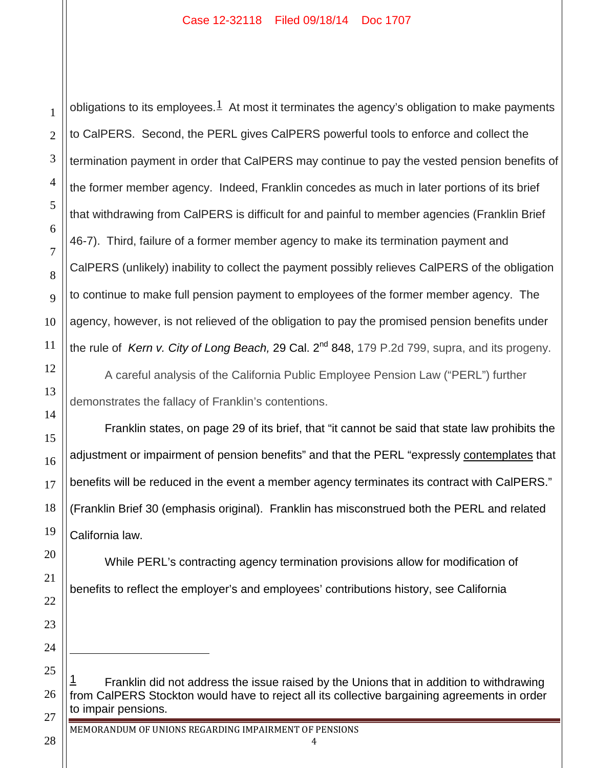1 2 3 4 5 6 7 8 9 10 11 obligations to its employees. $\frac{1}{2}$  At most it terminates the agency's obligation to make payments to CalPERS. Second, the PERL gives CalPERS powerful tools to enforce and collect the termination payment in order that CalPERS may continue to pay the vested pension benefits of the former member agency. Indeed, Franklin concedes as much in later portions of its brief that withdrawing from CalPERS is difficult for and painful to member agencies (Franklin Brief 46-7). Third, failure of a former member agency to make its termination payment and CalPERS (unlikely) inability to collect the payment possibly relieves CalPERS of the obligation to continue to make full pension payment to employees of the former member agency. The agency, however, is not relieved of the obligation to pay the promised pension benefits under the rule of *Kern v. City of Long Beach*, 29 Cal. 2<sup>nd</sup> 848, 179 P.2d 799, supra, and its progeny.

A careful analysis of the California Public Employee Pension Law ("PERL") further demonstrates the fallacy of Franklin's contentions.

Franklin states, on page 29 of its brief, that "it cannot be said that state law prohibits the adjustment or impairment of pension benefits" and that the PERL "expressly contemplates that benefits will be reduced in the event a member agency terminates its contract with CalPERS." (Franklin Brief 30 (emphasis original). Franklin has misconstrued both the PERL and related California law.

While PERL's contracting agency termination provisions allow for modification of benefits to reflect the employer's and employees' contributions history, see California

26 27 Franklin did not address the issue raised by the Unions that in addition to withdrawing from CalPERS Stockton would have to reject all its collective bargaining agreements in order to impair pensions.

12

13

14

15

16

17

18

19

20

21

22

23

24

 $\overline{a}$ 

25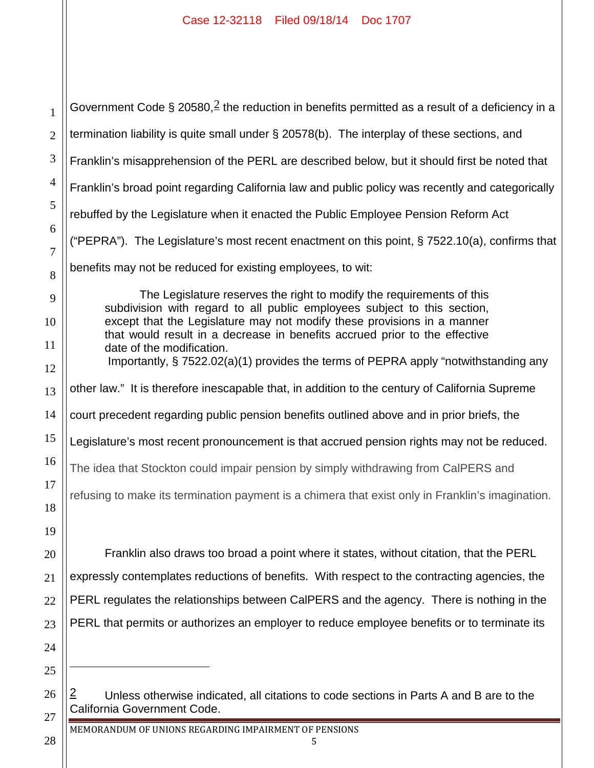## Case 12-32118 Filed 09/18/14 Doc 1707

| $\mathbf 1$     |
|-----------------|
| 2               |
| 3               |
| 4               |
| 5               |
| 6               |
| 7               |
| 8               |
| 9               |
|                 |
| 10              |
| 11              |
| 12              |
| 13              |
| 14              |
| 15              |
| 16              |
| 17              |
| 18              |
| 19              |
| $\overline{20}$ |
| $\overline{21}$ |
| 22              |
| 23              |
| 24              |
| 25              |
| 26              |
| 27              |
| 28              |

Government Code § 20580, $\frac{2}{3}$  the reduction in benefits permitted as a result of a deficiency in a termination liability is quite small under § 20578(b). The interplay of these sections, and Franklin's misapprehension of the PERL are described below, but it should first be noted that Franklin's broad point regarding California law and public policy was recently and categorically rebuffed by the Legislature when it enacted the Public Employee Pension Reform Act ("PEPRA"). The Legislature's most recent enactment on this point,  $\S$  7522.10(a), confirms that benefits may not be reduced for existing employees, to wit: The Legislature reserves the right to modify the requirements of this subdivision with regard to all public employees subject to this section, except that the Legislature may not modify these provisions in a manner that would result in a decrease in benefits accrued prior to the effective date of the modification. Importantly, § 7522.02(a)(1) provides the terms of PEPRA apply "notwithstanding any other law." It is therefore inescapable that, in addition to the century of California Supreme court precedent regarding public pension benefits outlined above and in prior briefs, the Legislature's most recent pronouncement is that accrued pension rights may not be reduced. The idea that Stockton could impair pension by simply withdrawing from CalPERS and refusing to make its termination payment is a chimera that exist only in Franklin's imagination. Franklin also draws too broad a point where it states, without citation, that the PERL expressly contemplates reductions of benefits. With respect to the contracting agencies, the PERL regulates the relationships between CalPERS and the agency. There is nothing in the PERL that permits or authorizes an employer to reduce employee benefits or to terminate its 2 Unless otherwise indicated, all citations to code sections in Parts A and B are to the California Government Code.  $\overline{a}$ 

MEMORANDUM OF UNIONS REGARDING IMPAIRMENT OF PENSIONS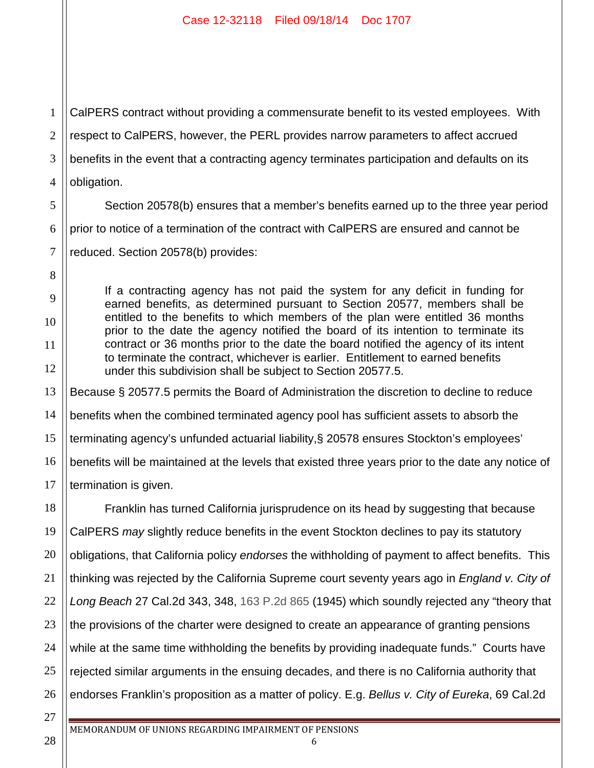1 2 3 4 5 6 7 8 9 10 11 12 13 14 15 16 17 18 19 20 21 22 23 24 25 26 27 28 CalPERS contract without providing a commensurate benefit to its vested employees. With respect to CalPERS, however, the PERL provides narrow parameters to affect accrued benefits in the event that a contracting agency terminates participation and defaults on its obligation. Section 20578(b) ensures that a member's benefits earned up to the three year period prior to notice of a termination of the contract with CalPERS are ensured and cannot be reduced. Section 20578(b) provides: If a contracting agency has not paid the system for any deficit in funding for earned benefits, as determined pursuant to Section 20577, members shall be entitled to the benefits to which members of the plan were entitled 36 months prior to the date the agency notified the board of its intention to terminate its contract or 36 months prior to the date the board notified the agency of its intent to terminate the contract, whichever is earlier. Entitlement to earned benefits under this subdivision shall be subject to Section 20577.5. Because § 20577.5 permits the Board of Administration the discretion to decline to reduce benefits when the combined terminated agency pool has sufficient assets to absorb the terminating agency's unfunded actuarial liability,§ 20578 ensures Stockton's employees' benefits will be maintained at the levels that existed three years prior to the date any notice of termination is given. Franklin has turned California jurisprudence on its head by suggesting that because CalPERS *may* slightly reduce benefits in the event Stockton declines to pay its statutory obligations, that California policy *endorses* the withholding of payment to affect benefits. This thinking was rejected by the California Supreme court seventy years ago in *England v. City of Long Beach* 27 Cal.2d 343, 348, 163 P.2d 865 (1945) which soundly rejected any "theory that the provisions of the charter were designed to create an appearance of granting pensions while at the same time withholding the benefits by providing inadequate funds." Courts have rejected similar arguments in the ensuing decades, and there is no California authority that endorses Franklin's proposition as a matter of policy. E.g. *Bellus v. City of Eureka*, 69 Cal.2d MEMORANDUM OF UNIONS REGARDING IMPAIRMENT OF PENSIONS 6

Case 12-32118 Filed 09/18/14 Doc 1707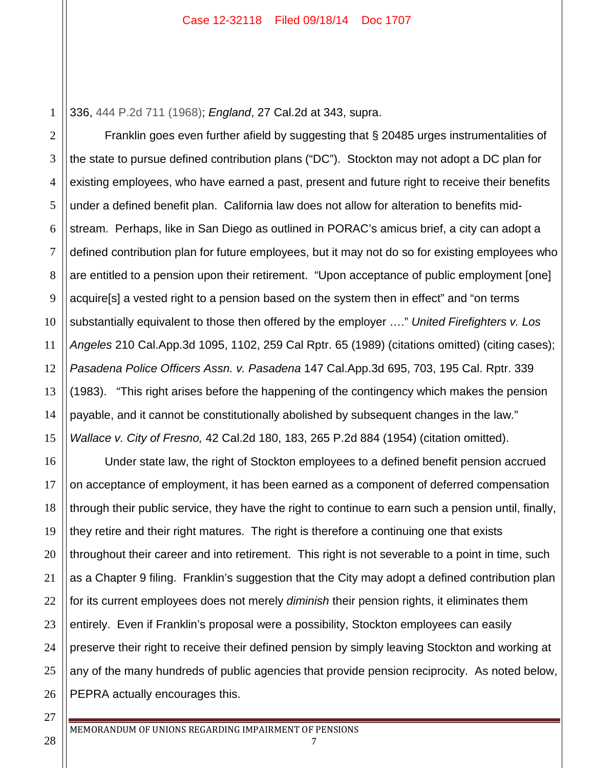1

17

21

22

25

27

28

336, 444 P.2d 711 (1968); *England*, 27 Cal.2d at 343, supra.

2 3 4 5 6 7 8 9 10 11 12 13 14 15 Franklin goes even further afield by suggesting that § 20485 urges instrumentalities of the state to pursue defined contribution plans ("DC"). Stockton may not adopt a DC plan for existing employees, who have earned a past, present and future right to receive their benefits under a defined benefit plan. California law does not allow for alteration to benefits midstream. Perhaps, like in San Diego as outlined in PORAC's amicus brief, a city can adopt a defined contribution plan for future employees, but it may not do so for existing employees who are entitled to a pension upon their retirement. "Upon acceptance of public employment [one] acquire[s] a vested right to a pension based on the system then in effect" and "on terms substantially equivalent to those then offered by the employer …." *United Firefighters v. Los Angeles* 210 Cal.App.3d 1095, 1102, 259 Cal Rptr. 65 (1989) (citations omitted) (citing cases); *Pasadena Police Officers Assn. v. Pasadena* 147 Cal.App.3d 695, 703, 195 Cal. Rptr. 339 (1983). "This right arises before the happening of the contingency which makes the pension payable, and it cannot be constitutionally abolished by subsequent changes in the law." *Wallace v. City of Fresno,* 42 Cal.2d 180, 183, 265 P.2d 884 (1954) (citation omitted).

16 18 19 20 23 24 26 Under state law, the right of Stockton employees to a defined benefit pension accrued on acceptance of employment, it has been earned as a component of deferred compensation through their public service, they have the right to continue to earn such a pension until, finally, they retire and their right matures. The right is therefore a continuing one that exists throughout their career and into retirement. This right is not severable to a point in time, such as a Chapter 9 filing. Franklin's suggestion that the City may adopt a defined contribution plan for its current employees does not merely *diminish* their pension rights, it eliminates them entirely. Even if Franklin's proposal were a possibility, Stockton employees can easily preserve their right to receive their defined pension by simply leaving Stockton and working at any of the many hundreds of public agencies that provide pension reciprocity. As noted below, PEPRA actually encourages this.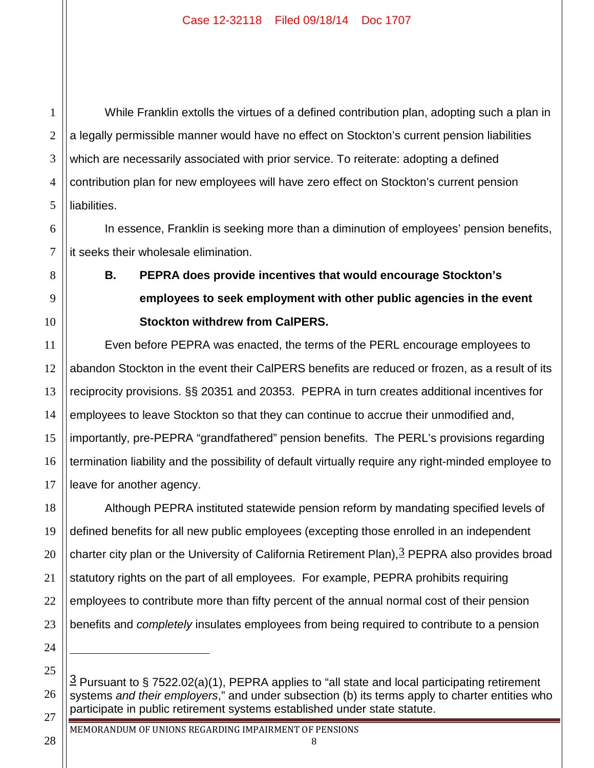2 3 4 5 While Franklin extolls the virtues of a defined contribution plan, adopting such a plan in a legally permissible manner would have no effect on Stockton's current pension liabilities which are necessarily associated with prior service. To reiterate: adopting a defined contribution plan for new employees will have zero effect on Stockton's current pension liabilities.

1

6

7

8

9

10

11

12

13

14

15

16

17

24

 $\overline{a}$ 

25

28

In essence, Franklin is seeking more than a diminution of employees' pension benefits, it seeks their wholesale elimination.

**B. PEPRA does provide incentives that would encourage Stockton's employees to seek employment with other public agencies in the event Stockton withdrew from CalPERS.**

Even before PEPRA was enacted, the terms of the PERL encourage employees to abandon Stockton in the event their CalPERS benefits are reduced or frozen, as a result of its reciprocity provisions. §§ 20351 and 20353. PEPRA in turn creates additional incentives for employees to leave Stockton so that they can continue to accrue their unmodified and, importantly, pre-PEPRA "grandfathered" pension benefits. The PERL's provisions regarding termination liability and the possibility of default virtually require any right-minded employee to leave for another agency.

18 19 20 21 22 23 Although PEPRA instituted statewide pension reform by mandating specified levels of defined benefits for all new public employees (excepting those enrolled in an independent charter city plan or the University of California Retirement Plan),  $\frac{3}{2}$  PEPRA also provides broad statutory rights on the part of all employees. For example, PEPRA prohibits requiring employees to contribute more than fifty percent of the annual normal cost of their pension benefits and *completely* insulates employees from being required to contribute to a pension

<sup>26</sup> 27  $\frac{3}{2}$  Pursuant to § 7522.02(a)(1), PEPRA applies to "all state and local participating retirement systems *and their employers*," and under subsection (b) its terms apply to charter entities who participate in public retirement systems established under state statute.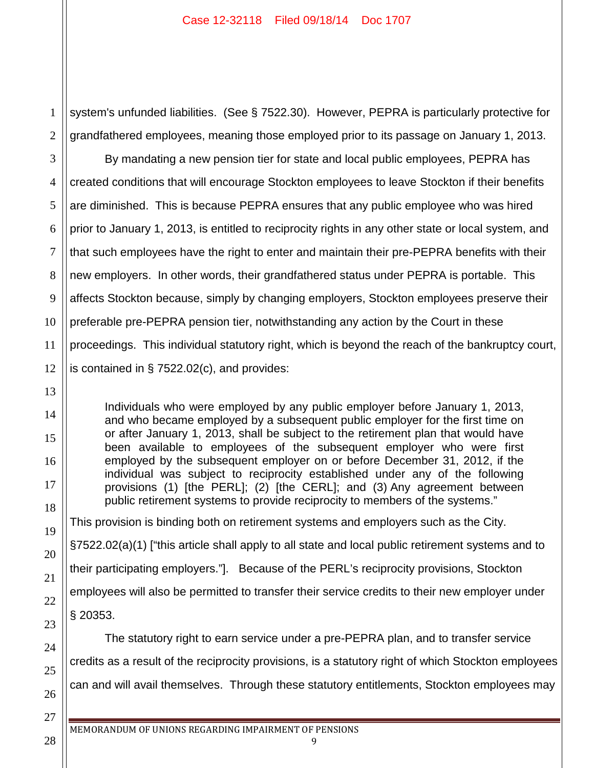1 2 system's unfunded liabilities. (See § 7522.30). However, PEPRA is particularly protective for grandfathered employees, meaning those employed prior to its passage on January 1, 2013.

3 4 5 6 7 8 9 10 11 12 By mandating a new pension tier for state and local public employees, PEPRA has created conditions that will encourage Stockton employees to leave Stockton if their benefits are diminished. This is because PEPRA ensures that any public employee who was hired prior to January 1, 2013, is entitled to reciprocity rights in any other state or local system, and that such employees have the right to enter and maintain their pre-PEPRA benefits with their new employers. In other words, their grandfathered status under PEPRA is portable. This affects Stockton because, simply by changing employers, Stockton employees preserve their preferable pre-PEPRA pension tier, notwithstanding any action by the Court in these proceedings. This individual statutory right, which is beyond the reach of the bankruptcy court, is contained in § 7522.02(c), and provides:

Individuals who were employed by any public employer before January 1, 2013, and who became employed by a subsequent public employer for the first time on or after January 1, 2013, shall be subject to the retirement plan that would have been available to employees of the subsequent employer who were first employed by the subsequent employer on or before December 31, 2012, if the individual was subject to reciprocity established under any of the following provisions (1) [the PERL]; (2) [the CERL]; and (3) Any agreement between public retirement systems to provide reciprocity to members of the systems."

This provision is binding both on retirement systems and employers such as the City.

§7522.02(a)(1) ["this article shall apply to all state and local public retirement systems and to

their participating employers."]. Because of the PERL's reciprocity provisions, Stockton

employees will also be permitted to transfer their service credits to their new employer under § 20353.

The statutory right to earn service under a pre-PEPRA plan, and to transfer service credits as a result of the reciprocity provisions, is a statutory right of which Stockton employees can and will avail themselves. Through these statutory entitlements, Stockton employees may

13

14

15

16

17

18

19

20

21

22

23

24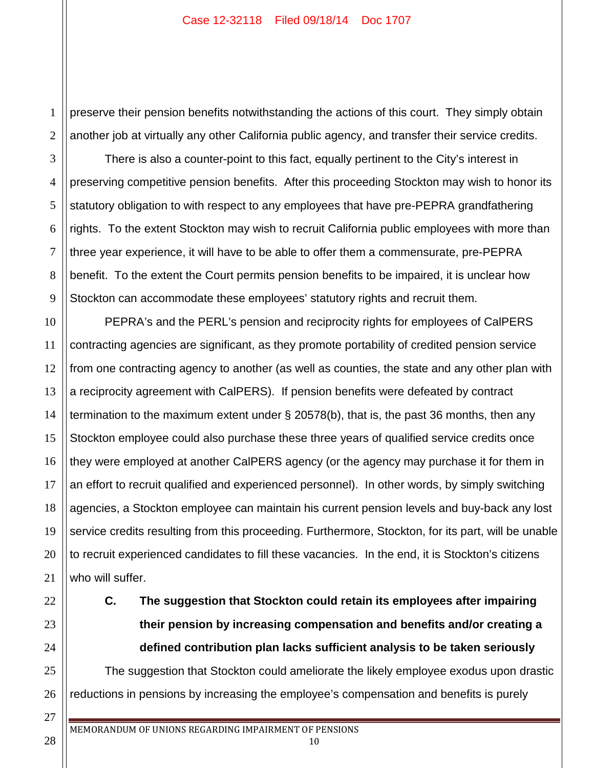2 preserve their pension benefits notwithstanding the actions of this court. They simply obtain another job at virtually any other California public agency, and transfer their service credits.

3 4 6 8 9 There is also a counter-point to this fact, equally pertinent to the City's interest in preserving competitive pension benefits. After this proceeding Stockton may wish to honor its statutory obligation to with respect to any employees that have pre-PEPRA grandfathering rights. To the extent Stockton may wish to recruit California public employees with more than three year experience, it will have to be able to offer them a commensurate, pre-PEPRA benefit. To the extent the Court permits pension benefits to be impaired, it is unclear how Stockton can accommodate these employees' statutory rights and recruit them.

10 11 12 13 14 15 16 17 18 19 20 PEPRA's and the PERL's pension and reciprocity rights for employees of CalPERS contracting agencies are significant, as they promote portability of credited pension service from one contracting agency to another (as well as counties, the state and any other plan with a reciprocity agreement with CalPERS). If pension benefits were defeated by contract termination to the maximum extent under § 20578(b), that is, the past 36 months, then any Stockton employee could also purchase these three years of qualified service credits once they were employed at another CalPERS agency (or the agency may purchase it for them in an effort to recruit qualified and experienced personnel). In other words, by simply switching agencies, a Stockton employee can maintain his current pension levels and buy-back any lost service credits resulting from this proceeding. Furthermore, Stockton, for its part, will be unable to recruit experienced candidates to fill these vacancies. In the end, it is Stockton's citizens who will suffer.

28

1

5

7

**C. The suggestion that Stockton could retain its employees after impairing their pension by increasing compensation and benefits and/or creating a defined contribution plan lacks sufficient analysis to be taken seriously** The suggestion that Stockton could ameliorate the likely employee exodus upon drastic reductions in pensions by increasing the employee's compensation and benefits is purely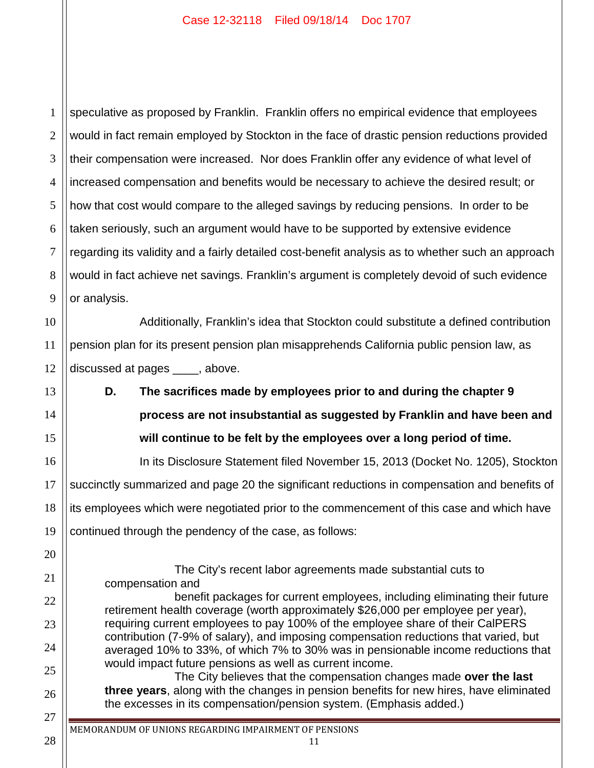1 2 3 4 5 6 7 8 speculative as proposed by Franklin. Franklin offers no empirical evidence that employees would in fact remain employed by Stockton in the face of drastic pension reductions provided their compensation were increased. Nor does Franklin offer any evidence of what level of increased compensation and benefits would be necessary to achieve the desired result; or how that cost would compare to the alleged savings by reducing pensions. In order to be taken seriously, such an argument would have to be supported by extensive evidence regarding its validity and a fairly detailed cost-benefit analysis as to whether such an approach would in fact achieve net savings. Franklin's argument is completely devoid of such evidence or analysis.

pension plan for its present pension plan misapprehends California public pension law, as

discussed at pages \_\_\_\_, above.

27

28

**D. The sacrifices made by employees prior to and during the chapter 9 process are not insubstantial as suggested by Franklin and have been and will continue to be felt by the employees over a long period of time.**

Additionally, Franklin's idea that Stockton could substitute a defined contribution

In its Disclosure Statement filed November 15, 2013 (Docket No. 1205), Stockton succinctly summarized and page 20 the significant reductions in compensation and benefits of its employees which were negotiated prior to the commencement of this case and which have continued through the pendency of the case, as follows:

The City's recent labor agreements made substantial cuts to compensation and benefit packages for current employees, including eliminating their future retirement health coverage (worth approximately \$26,000 per employee per year), requiring current employees to pay 100% of the employee share of their CalPERS contribution (7-9% of salary), and imposing compensation reductions that varied, but averaged 10% to 33%, of which 7% to 30% was in pensionable income reductions that would impact future pensions as well as current income. The City believes that the compensation changes made **over the last** 

**three years**, along with the changes in pension benefits for new hires, have eliminated the excesses in its compensation/pension system. (Emphasis added.)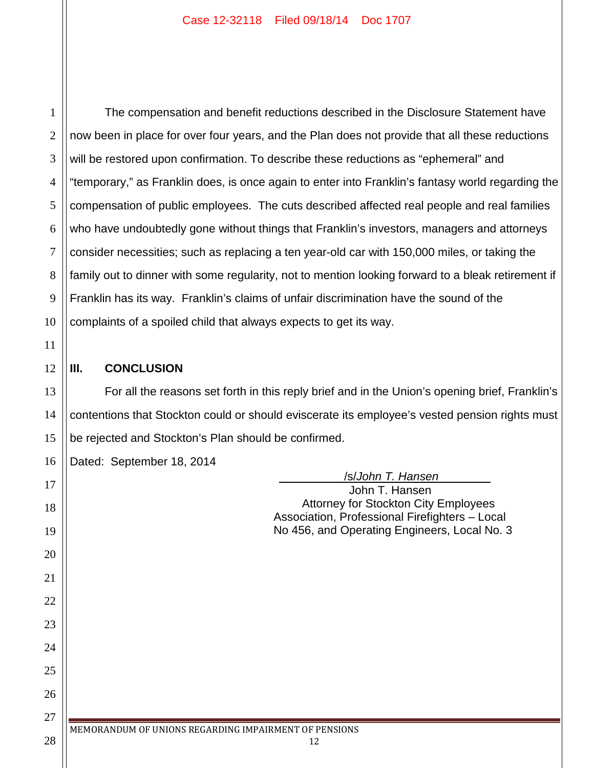1 2 3 4 5 6 7 8 9 10 The compensation and benefit reductions described in the Disclosure Statement have now been in place for over four years, and the Plan does not provide that all these reductions will be restored upon confirmation. To describe these reductions as "ephemeral" and "temporary," as Franklin does, is once again to enter into Franklin's fantasy world regarding the compensation of public employees. The cuts described affected real people and real families who have undoubtedly gone without things that Franklin's investors, managers and attorneys consider necessities; such as replacing a ten year-old car with 150,000 miles, or taking the family out to dinner with some regularity, not to mention looking forward to a bleak retirement if Franklin has its way. Franklin's claims of unfair discrimination have the sound of the complaints of a spoiled child that always expects to get its way.

## **III. CONCLUSION**

11

12

13

14

15

16

17

18

19

20

21

22

23

24

25

26

27

28

For all the reasons set forth in this reply brief and in the Union's opening brief, Franklin's contentions that Stockton could or should eviscerate its employee's vested pension rights must be rejected and Stockton's Plan should be confirmed.

Dated: September 18, 2014

\_\_\_\_\_\_\_\_\_\_/s/*John T. Hansen*\_\_\_\_\_\_\_\_ John T. Hansen Attorney for Stockton City Employees Association, Professional Firefighters – Local No 456, and Operating Engineers, Local No. 3